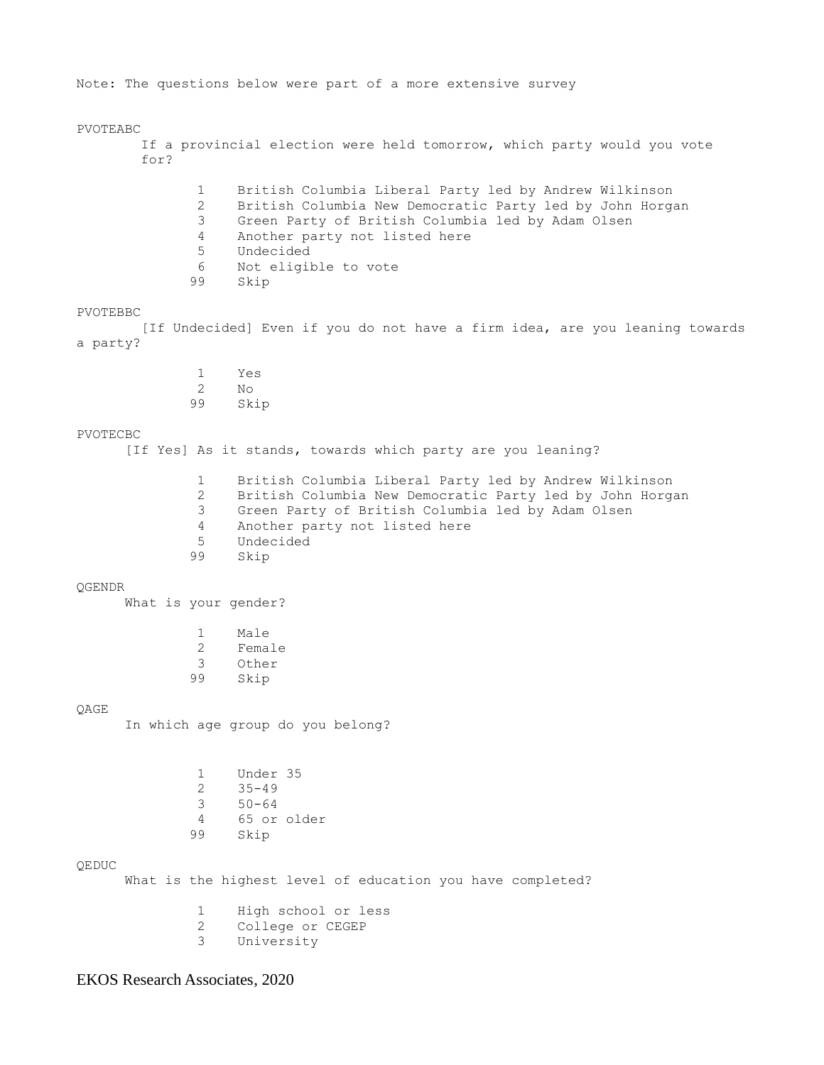Note: The questions below were part of a more extensive survey

# PVOTEABC

- If a provincial election were held tomorrow, which party would you vote for?
	- 1 British Columbia Liberal Party led by Andrew Wilkinson
	- 2 British Columbia New Democratic Party led by John Horgan
	- 3 Green Party of British Columbia led by Adam Olsen
	- 4 Another party not listed here<br>5 Undecided
	- 5 Undecided
	- 6 Not eligible to vote
	- 99 Skip

#### PVOTEBBC

 [If Undecided] Even if you do not have a firm idea, are you leaning towards a party?

- 1 Yes
- $\begin{matrix} 2 & \text{No} \\ 99 & \text{Sk} \end{matrix}$ Skip

## PVOTECBC

[If Yes] As it stands, towards which party are you leaning?

- 1 British Columbia Liberal Party led by Andrew Wilkinson
- 2 British Columbia New Democratic Party led by John Horgan
- 3 Green Party of British Columbia led by Adam Olsen
- 4 Another party not listed here
- 5 Undecided<br>99 Skip
	- Skip

### **OGENDR**

What is your gender?

|     | Male   |
|-----|--------|
| 2   | Female |
| 3   | Other  |
| a a | Skip   |

### QAGE

In which age group do you belong?

|    | Under 35  |             |
|----|-----------|-------------|
| 2  | $35 - 49$ |             |
| -3 | $50 - 64$ |             |
|    |           | 65 or older |
| 99 | Skip      |             |
|    |           |             |

#### QEDUC

What is the highest level of education you have completed?

- 1 High school or less
- 2 College or CEGEP
- 3 University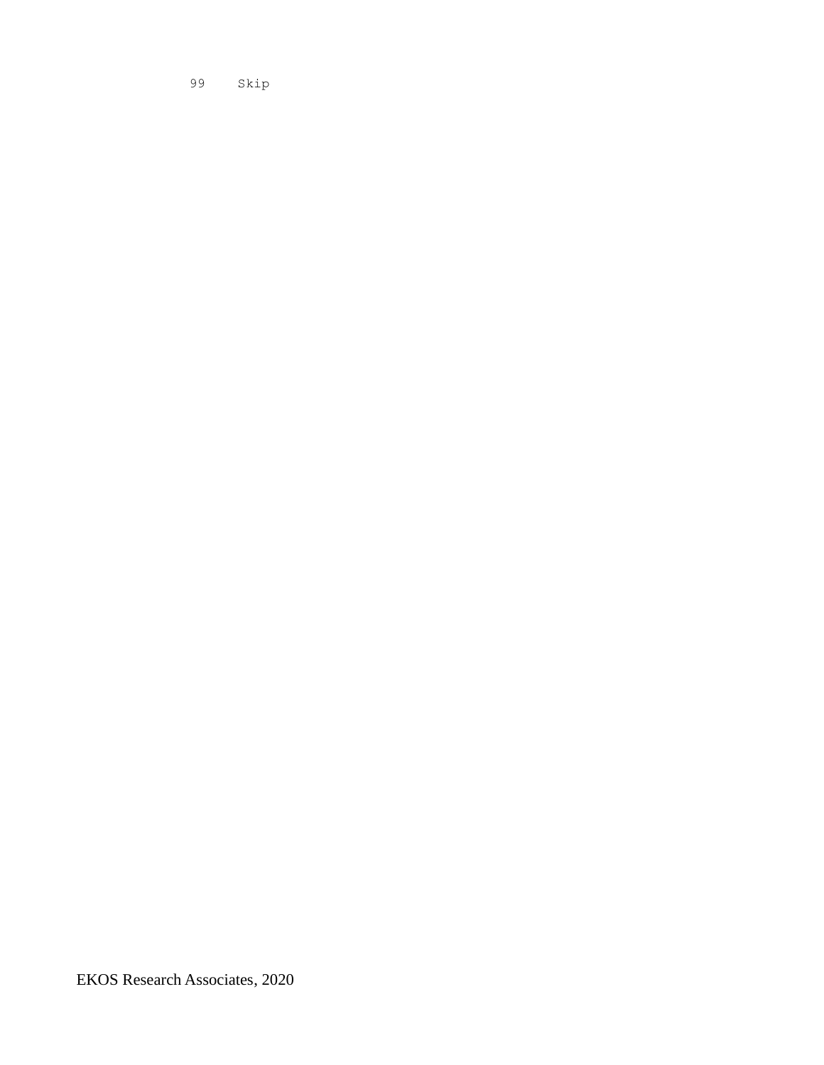99 Skip

EKOS Research Associates, 2020